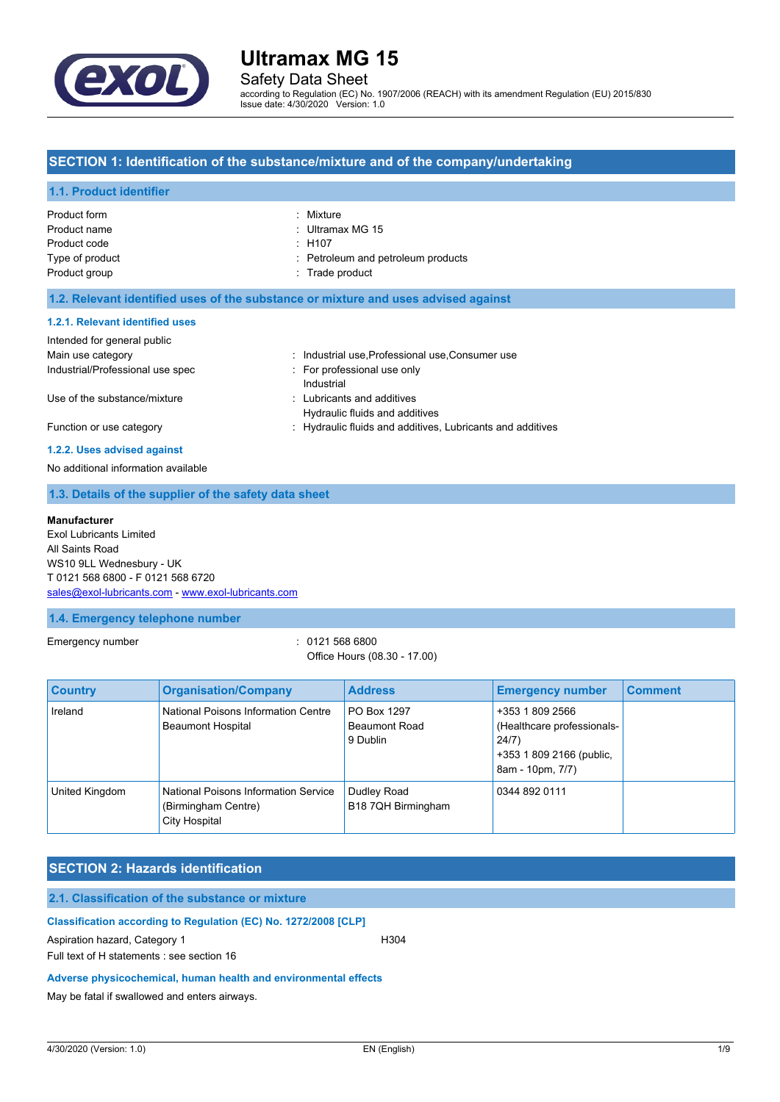

Safety Data Sheet

according to Regulation (EC) No. 1907/2006 (REACH) with its amendment Regulation (EU) 2015/830 Issue date: 4/30/2020 Version: 1.0

#### **SECTION 1: Identification of the substance/mixture and of the company/undertaking**

#### **1.1. Product identifier**

| Product form    | : Mixture                          |
|-----------------|------------------------------------|
| Product name    | : Ultramax MG 15                   |
| Product code    | : H107                             |
| Type of product | : Petroleum and petroleum products |
| Product group   | : Trade product                    |

#### **1.2. Relevant identified uses of the substance or mixture and uses advised against**

#### **1.2.1. Relevant identified uses**

| Intended for general public      |                                                            |
|----------------------------------|------------------------------------------------------------|
| Main use category                | : Industrial use, Professional use, Consumer use           |
| Industrial/Professional use spec | For professional use only                                  |
|                                  | Industrial                                                 |
| Use of the substance/mixture     | : Lubricants and additives                                 |
|                                  | Hydraulic fluids and additives                             |
| Function or use category         | : Hydraulic fluids and additives, Lubricants and additives |

#### **1.2.2. Uses advised against**

No additional information available

#### **1.3. Details of the supplier of the safety data sheet**

#### **Manufacturer**

Exol Lubricants Limited All Saints Road WS10 9LL Wednesbury - UK T 0121 568 6800 - F 0121 568 6720 [sales@exol-lubricants.com](mailto:sales@exol-lubricants.com) - <www.exol-lubricants.com>

#### **1.4. Emergency telephone number**

Emergency number : 0121 568 6800

# Office Hours (08.30 - 17.00)

| <b>Country</b> | <b>Organisation/Company</b>                                                  | <b>Address</b>                                  | <b>Emergency number</b>                                                                                | <b>Comment</b> |
|----------------|------------------------------------------------------------------------------|-------------------------------------------------|--------------------------------------------------------------------------------------------------------|----------------|
| Ireland        | National Poisons Information Centre<br><b>Beaumont Hospital</b>              | PO Box 1297<br><b>Beaumont Road</b><br>9 Dublin | +353 1 809 2566<br>(Healthcare professionals-<br>24/7)<br>+353 1 809 2166 (public,<br>8am - 10pm, 7/7) |                |
| United Kingdom | National Poisons Information Service<br>(Birmingham Centre)<br>City Hospital | Dudley Road<br>B18 7QH Birmingham               | 0344 892 0111                                                                                          |                |

# **SECTION 2: Hazards identification**

### **2.1. Classification of the substance or mixture**

#### **Classification according to Regulation (EC) No. 1272/2008 [CLP]**

Aspiration hazard, Category 1 H304 Full text of H statements : see section 16

#### **Adverse physicochemical, human health and environmental effects**

May be fatal if swallowed and enters airways.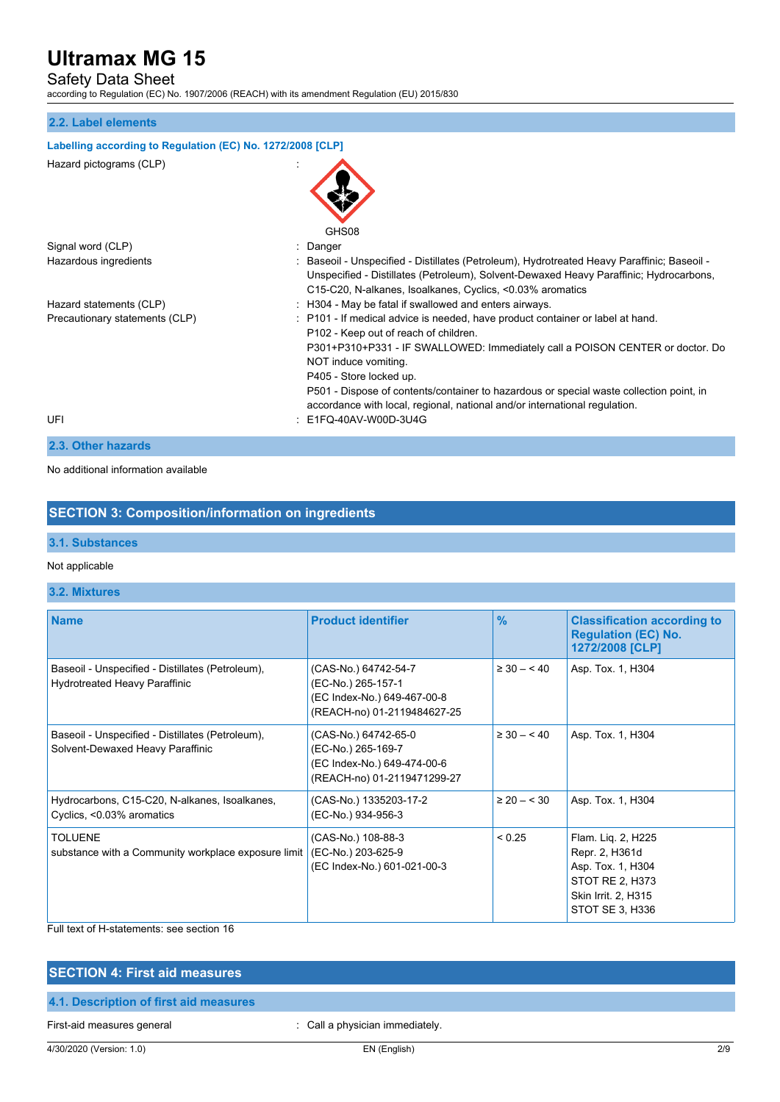# Safety Data Sheet

according to Regulation (EC) No. 1907/2006 (REACH) with its amendment Regulation (EU) 2015/830

#### **2.2. Label elements**

# **Labelling according to Regulation (EC) No. 1272/2008 [CLP]** Hazard pictograms (CLP) : **GHS08** Signal word (CLP)  $\qquad \qquad$ : Danger Hazardous ingredients : Baseoil - Unspecified - Distillates (Petroleum), Hydrotreated Heavy Paraffinic; Baseoil -Unspecified - Distillates (Petroleum), Solvent-Dewaxed Heavy Paraffinic; Hydrocarbons, C15-C20, N-alkanes, Isoalkanes, Cyclics, <0.03% aromatics Hazard statements (CLP) : H304 - May be fatal if swallowed and enters airways. Precautionary statements (CLP) : P101 - If medical advice is needed, have product container or label at hand. P102 - Keep out of reach of children. P301+P310+P331 - IF SWALLOWED: Immediately call a POISON CENTER or doctor. Do NOT induce vomiting. P405 - Store locked up. P501 - Dispose of contents/container to hazardous or special waste collection point, in accordance with local, regional, national and/or international regulation.

UFI : E1FQ-40AV-W00D-3U4G

### **2.3. Other hazards**

No additional information available

### **SECTION 3: Composition/information on ingredients**

#### **3.1. Substances**

#### Not applicable

#### **3.2. Mixtures**

| <b>Name</b>                                                                              | <b>Product identifier</b>                                                                                | $\frac{9}{6}$  | <b>Classification according to</b><br><b>Regulation (EC) No.</b><br>1272/2008 [CLP]                                    |
|------------------------------------------------------------------------------------------|----------------------------------------------------------------------------------------------------------|----------------|------------------------------------------------------------------------------------------------------------------------|
| Baseoil - Unspecified - Distillates (Petroleum),<br><b>Hydrotreated Heavy Paraffinic</b> | (CAS-No.) 64742-54-7<br>(EC-No.) 265-157-1<br>(EC Index-No.) 649-467-00-8<br>(REACH-no) 01-2119484627-25 | $\geq 30 - 40$ | Asp. Tox. 1, H304                                                                                                      |
| Baseoil - Unspecified - Distillates (Petroleum),<br>Solvent-Dewaxed Heavy Paraffinic     | (CAS-No.) 64742-65-0<br>(EC-No.) 265-169-7<br>(EC Index-No.) 649-474-00-6<br>(REACH-no) 01-2119471299-27 | $\geq 30 - 40$ | Asp. Tox. 1, H304                                                                                                      |
| Hydrocarbons, C15-C20, N-alkanes, Isoalkanes,<br>Cyclics, <0.03% aromatics               | (CAS-No.) 1335203-17-2<br>(EC-No.) 934-956-3                                                             | $\geq 20 - 30$ | Asp. Tox. 1, H304                                                                                                      |
| <b>TOLUENE</b><br>substance with a Community workplace exposure limit                    | (CAS-No.) 108-88-3<br>(EC-No.) 203-625-9<br>(EC Index-No.) 601-021-00-3                                  | < 0.25         | Flam. Liq. 2, H225<br>Repr. 2, H361d<br>Asp. Tox. 1, H304<br>STOT RE 2, H373<br>Skin Irrit. 2, H315<br>STOT SE 3, H336 |

#### Full text of H-statements: see section 16

#### **SECTION 4: First aid measures**

#### **4.1. Description of first aid measures**

First-aid measures general interest and the call a physician immediately.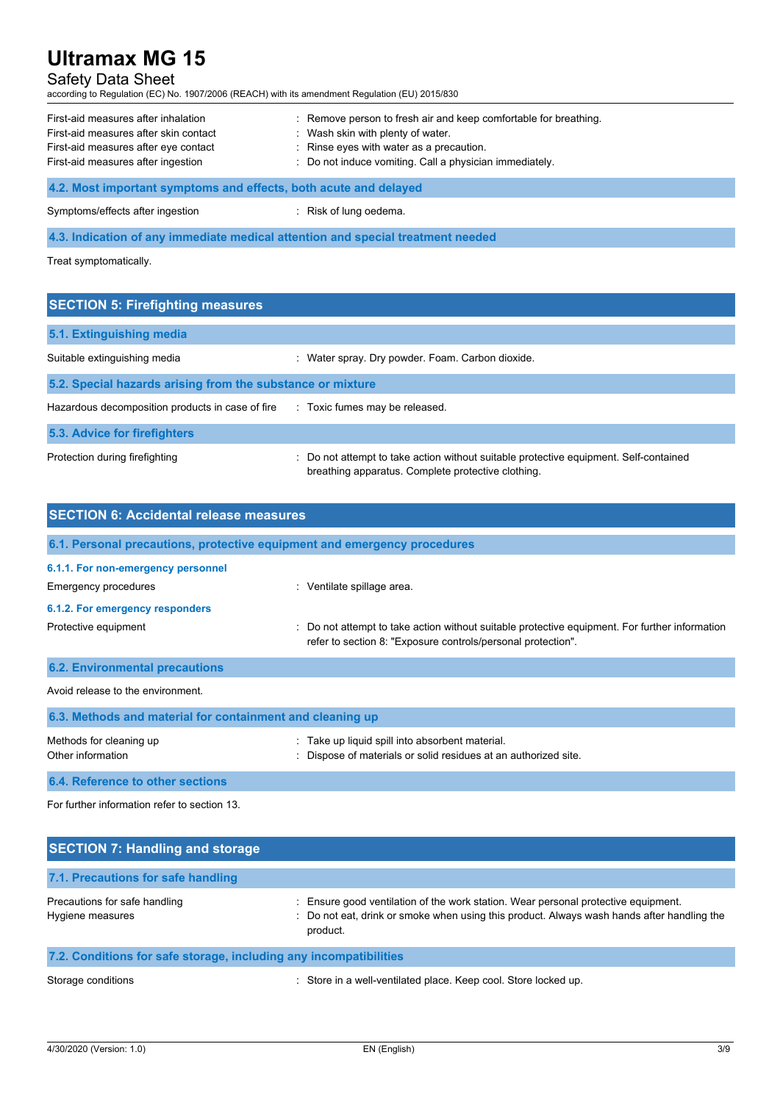# Safety Data Sheet

according to Regulation (EC) No. 1907/2006 (REACH) with its amendment Regulation (EU) 2015/830

| First-aid measures after inhalation<br>First-aid measures after skin contact<br>First-aid measures after eye contact<br>First-aid measures after ingestion | : Remove person to fresh air and keep comfortable for breathing.<br>: Wash skin with plenty of water.<br>: Rinse eyes with water as a precaution.<br>: Do not induce vomiting. Call a physician immediately. |  |
|------------------------------------------------------------------------------------------------------------------------------------------------------------|--------------------------------------------------------------------------------------------------------------------------------------------------------------------------------------------------------------|--|
| 4.2. Most important symptoms and effects, both acute and delayed                                                                                           |                                                                                                                                                                                                              |  |
| Symptoms/effects after ingestion                                                                                                                           | Risk of lung oedema.                                                                                                                                                                                         |  |

**4.3. Indication of any immediate medical attention and special treatment needed**

Treat symptomatically.

| <b>SECTION 5: Firefighting measures</b>                    |                                                                                                                                             |  |  |
|------------------------------------------------------------|---------------------------------------------------------------------------------------------------------------------------------------------|--|--|
| 5.1. Extinguishing media                                   |                                                                                                                                             |  |  |
| Suitable extinguishing media                               | : Water spray. Dry powder. Foam. Carbon dioxide.                                                                                            |  |  |
| 5.2. Special hazards arising from the substance or mixture |                                                                                                                                             |  |  |
| Hazardous decomposition products in case of fire           | : Toxic fumes may be released.                                                                                                              |  |  |
| 5.3. Advice for firefighters                               |                                                                                                                                             |  |  |
| Protection during firefighting                             | : Do not attempt to take action without suitable protective equipment. Self-contained<br>breathing apparatus. Complete protective clothing. |  |  |

| <b>SECTION 6: Accidental release measures</b>                            |                                                                                                                                                                |
|--------------------------------------------------------------------------|----------------------------------------------------------------------------------------------------------------------------------------------------------------|
| 6.1. Personal precautions, protective equipment and emergency procedures |                                                                                                                                                                |
| 6.1.1. For non-emergency personnel                                       |                                                                                                                                                                |
| <b>Emergency procedures</b>                                              | : Ventilate spillage area.                                                                                                                                     |
| 6.1.2. For emergency responders                                          |                                                                                                                                                                |
| Protective equipment                                                     | : Do not attempt to take action without suitable protective equipment. For further information<br>refer to section 8: "Exposure controls/personal protection". |
| <b>6.2. Environmental precautions</b>                                    |                                                                                                                                                                |
| Avoid release to the environment.                                        |                                                                                                                                                                |
| 6.3. Methods and material for containment and cleaning up                |                                                                                                                                                                |
| Methods for cleaning up<br>Other information                             | Take up liquid spill into absorbent material.<br>Dispose of materials or solid residues at an authorized site.                                                 |
| 6.4. Reference to other sections                                         |                                                                                                                                                                |

For further information refer to section 13.

| <b>SECTION 7: Handling and storage</b>                            |                                                                                                                                                                                              |
|-------------------------------------------------------------------|----------------------------------------------------------------------------------------------------------------------------------------------------------------------------------------------|
| 7.1. Precautions for safe handling                                |                                                                                                                                                                                              |
| Precautions for safe handling<br>Hygiene measures                 | : Ensure good ventilation of the work station. Wear personal protective equipment.<br>: Do not eat, drink or smoke when using this product. Always wash hands after handling the<br>product. |
| 7.2. Conditions for safe storage, including any incompatibilities |                                                                                                                                                                                              |
| Storage conditions                                                | : Store in a well-ventilated place. Keep cool. Store locked up.                                                                                                                              |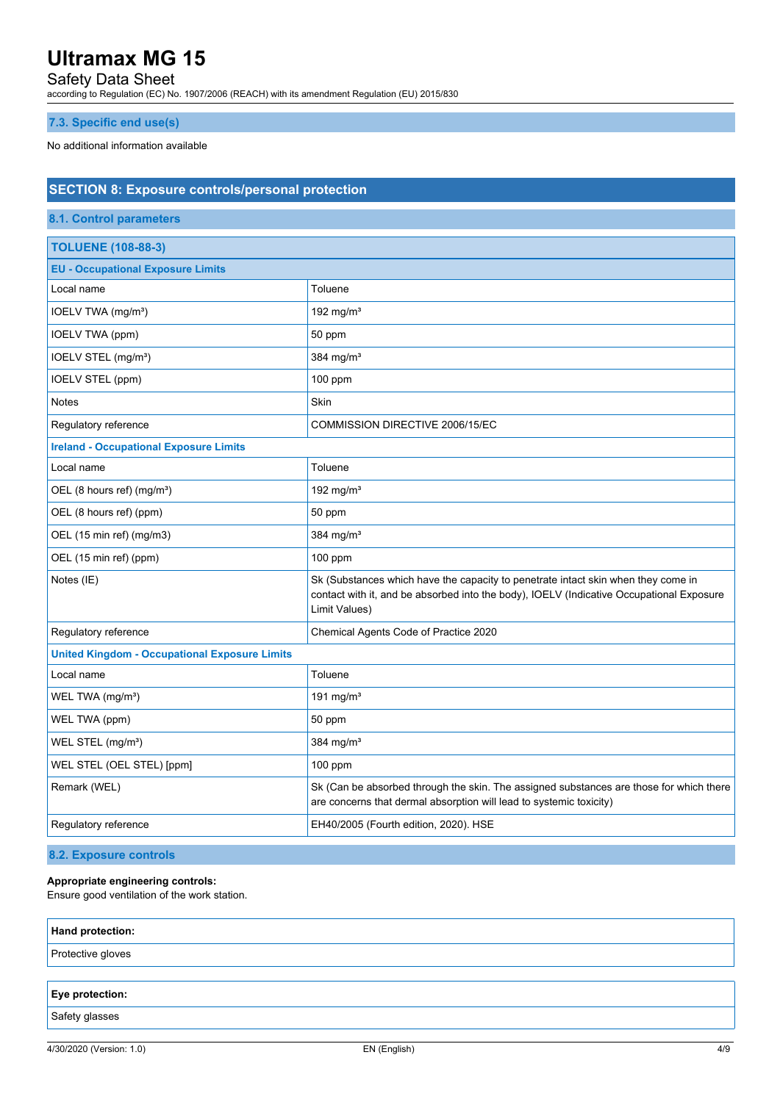### Safety Data Sheet

according to Regulation (EC) No. 1907/2006 (REACH) with its amendment Regulation (EU) 2015/830

### **7.3. Specific end use(s)**

No additional information available

| <b>SECTION 8: Exposure controls/personal protection</b> |                                                                                                                                                                                                |  |
|---------------------------------------------------------|------------------------------------------------------------------------------------------------------------------------------------------------------------------------------------------------|--|
| <b>8.1. Control parameters</b>                          |                                                                                                                                                                                                |  |
| <b>TOLUENE (108-88-3)</b>                               |                                                                                                                                                                                                |  |
| <b>EU - Occupational Exposure Limits</b>                |                                                                                                                                                                                                |  |
| Local name                                              | Toluene                                                                                                                                                                                        |  |
| IOELV TWA (mg/m <sup>3</sup> )                          | 192 mg/m $3$                                                                                                                                                                                   |  |
| IOELV TWA (ppm)                                         | 50 ppm                                                                                                                                                                                         |  |
| IOELV STEL (mg/m <sup>3</sup> )                         | 384 mg/m <sup>3</sup>                                                                                                                                                                          |  |
| IOELV STEL (ppm)                                        | $100$ ppm                                                                                                                                                                                      |  |
| <b>Notes</b>                                            | Skin                                                                                                                                                                                           |  |
| Regulatory reference                                    | COMMISSION DIRECTIVE 2006/15/EC                                                                                                                                                                |  |
| <b>Ireland - Occupational Exposure Limits</b>           |                                                                                                                                                                                                |  |
| Local name                                              | Toluene                                                                                                                                                                                        |  |
| OEL (8 hours ref) (mg/m <sup>3</sup> )                  | 192 mg/m <sup>3</sup>                                                                                                                                                                          |  |
| OEL (8 hours ref) (ppm)                                 | 50 ppm                                                                                                                                                                                         |  |
| OEL (15 min ref) (mg/m3)                                | 384 mg/m <sup>3</sup>                                                                                                                                                                          |  |
| OEL (15 min ref) (ppm)                                  | $100$ ppm                                                                                                                                                                                      |  |
| Notes (IE)                                              | Sk (Substances which have the capacity to penetrate intact skin when they come in<br>contact with it, and be absorbed into the body), IOELV (Indicative Occupational Exposure<br>Limit Values) |  |
| Regulatory reference                                    | Chemical Agents Code of Practice 2020                                                                                                                                                          |  |
| <b>United Kingdom - Occupational Exposure Limits</b>    |                                                                                                                                                                                                |  |
| Local name                                              | Toluene                                                                                                                                                                                        |  |
| WEL TWA (mg/m <sup>3</sup> )                            | 191 mg/m <sup>3</sup>                                                                                                                                                                          |  |
| WEL TWA (ppm)                                           | 50 ppm                                                                                                                                                                                         |  |
| WEL STEL (mg/m <sup>3</sup> )                           | 384 mg/m <sup>3</sup>                                                                                                                                                                          |  |
| WEL STEL (OEL STEL) [ppm]                               | 100 ppm                                                                                                                                                                                        |  |
| Remark (WEL)                                            | Sk (Can be absorbed through the skin. The assigned substances are those for which there<br>are concerns that dermal absorption will lead to systemic toxicity)                                 |  |
| Regulatory reference                                    | EH40/2005 (Fourth edition, 2020). HSE                                                                                                                                                          |  |
|                                                         |                                                                                                                                                                                                |  |

**8.2. Exposure controls**

### **Appropriate engineering controls:**

Ensure good ventilation of the work station.

| Hand protection:  |  |
|-------------------|--|
| Protective gloves |  |
|                   |  |
| Eye protection:   |  |
| Safety glasses    |  |
|                   |  |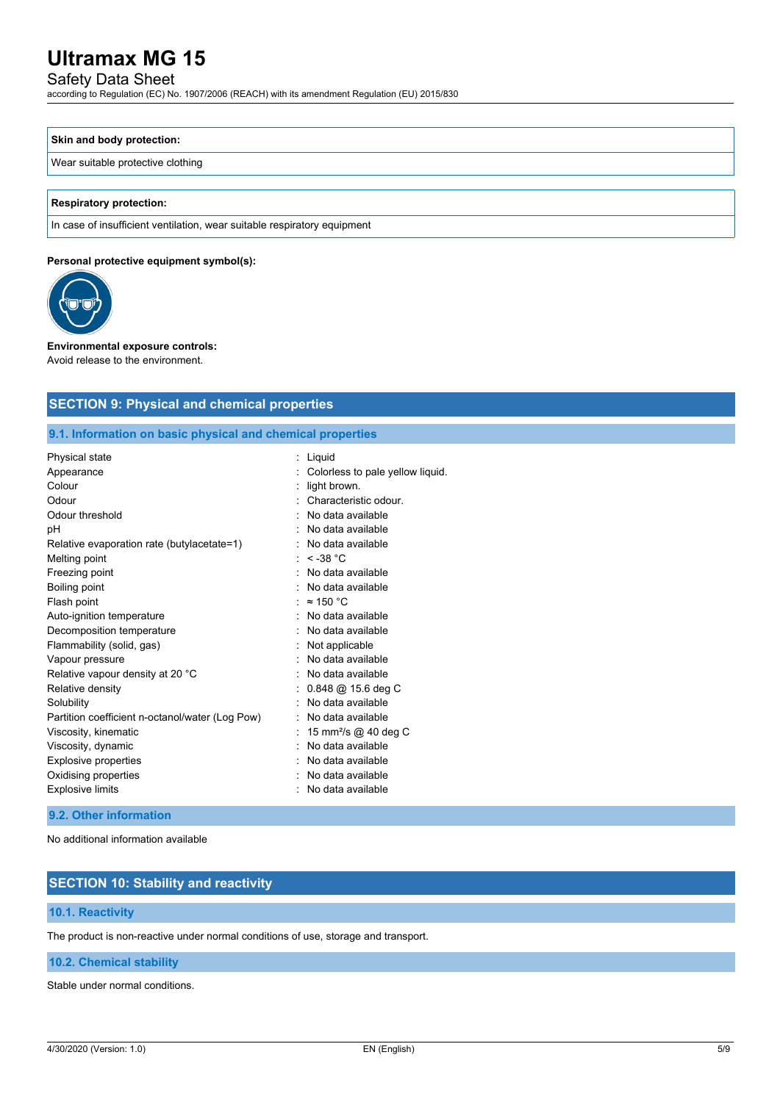# Safety Data Sheet

according to Regulation (EC) No. 1907/2006 (REACH) with its amendment Regulation (EU) 2015/830

# **Skin and body protection:**

#### Wear suitable protective clothing

#### **Respiratory protection:**

In case of insufficient ventilation, wear suitable respiratory equipment

#### **Personal protective equipment symbol(s):**



## **Environmental exposure controls:**

Avoid release to the environment.

### **SECTION 9: Physical and chemical properties**

**9.1. Information on basic physical and chemical properties**

| Physical state                                  | : Liquid                              |
|-------------------------------------------------|---------------------------------------|
| Appearance                                      | Colorless to pale yellow liquid.      |
| Colour                                          | light brown.                          |
| Odour                                           | Characteristic odour.                 |
| Odour threshold                                 | No data available                     |
| рH                                              | No data available                     |
| Relative evaporation rate (butylacetate=1)      | No data available                     |
| Melting point                                   | $\le$ -38 °C                          |
| Freezing point                                  | No data available                     |
| Boiling point                                   | No data available                     |
| Flash point                                     | $\approx$ 150 °C                      |
| Auto-ignition temperature                       | No data available                     |
| Decomposition temperature                       | No data available                     |
| Flammability (solid, gas)                       | Not applicable                        |
| Vapour pressure                                 | No data available                     |
| Relative vapour density at 20 °C                | No data available                     |
| Relative density                                | $0.848 \; \textcircled{a}$ 15.6 deg C |
| Solubility                                      | No data available                     |
| Partition coefficient n-octanol/water (Log Pow) | No data available                     |
| Viscosity, kinematic                            | 15 mm <sup>2</sup> /s @ 40 deg C      |
| Viscosity, dynamic                              | No data available                     |
| Explosive properties                            | No data available                     |
| Oxidising properties                            | No data available                     |
| <b>Explosive limits</b>                         | No data available                     |

#### **9.2. Other information**

No additional information available

# **SECTION 10: Stability and reactivity**

### **10.1. Reactivity**

The product is non-reactive under normal conditions of use, storage and transport.

#### **10.2. Chemical stability**

Stable under normal conditions.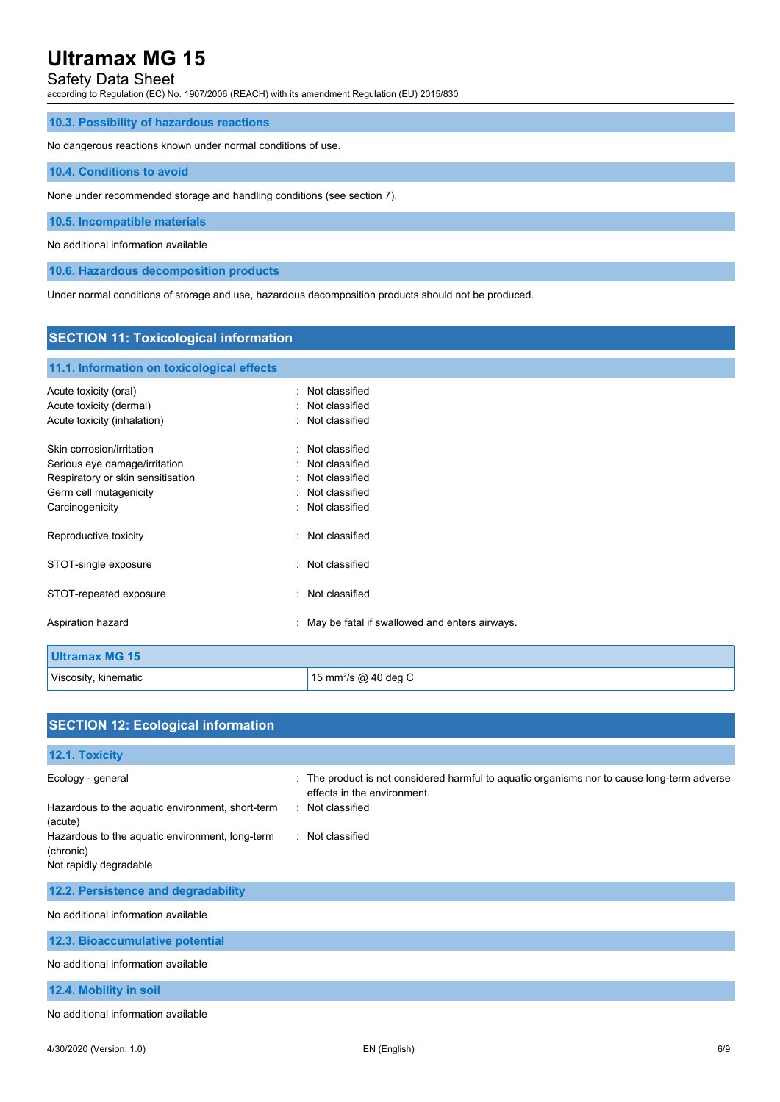# Safety Data Sheet

according to Regulation (EC) No. 1907/2006 (REACH) with its amendment Regulation (EU) 2015/830

#### **10.3. Possibility of hazardous reactions**

No dangerous reactions known under normal conditions of use.

#### **10.4. Conditions to avoid**

None under recommended storage and handling conditions (see section 7).

#### **10.5. Incompatible materials**

No additional information available

**10.6. Hazardous decomposition products**

Under normal conditions of storage and use, hazardous decomposition products should not be produced.

# **SECTION 11: Toxicological information 11.1. Information on toxicological effects** Acute toxicity (oral) **interpretent in the contract of the Cassified** in Not classified Acute toxicity (dermal) **Example 20** Acute toxicity (dermal) Acute toxicity (inhalation) **induces**  $\vdots$  Not classified Skin corrosion/irritation **in the set of the set of the set of the set of the set of the set of the set of the set of the set of the set of the set of the set of the set of the set of the set of the set of the set of the s** Serious eye damage/irritation **in the serious serious** : Not classified Respiratory or skin sensitisation **in the sensitism** : Not classified Germ cell mutagenicity **Second Contract Contract Contract Contract Contract Contract Contract Contract Contract Contract Contract Contract Contract Contract Contract Contract Contract Contract Contract Contract Contract Co** Carcinogenicity **Carcinogenicity 1999 Carcinogenicity Carcinogenicity Carcial Carcinogenicity Carcial Carcial Carcial Carcial Carcial Carcial Carcial Carcial Carcial Carcial Carcial Carcial Carcial Carcial Carcia** Reproductive toxicity **in the set of the COV** Reproductive toxicity STOT-single exposure in the state of the state of the STOT-single exposure STOT-repeated exposure in the state of the state of the STOT-repeated exposure Aspiration hazard **in the state of the state of the state of the state of the state of the state of the state of the state of the state of the state of the state of the state of the state of the state of the state of the s Ultramax MG 15** Viscosity, kinematic **15 mm**<sup>2</sup>/s @ 40 deg C

| <b>SECTION 12: Ecological information</b>                                                                                                                                  |                                                                                                                                                                  |
|----------------------------------------------------------------------------------------------------------------------------------------------------------------------------|------------------------------------------------------------------------------------------------------------------------------------------------------------------|
| 12.1. Toxicity                                                                                                                                                             |                                                                                                                                                                  |
| Ecology - general<br>Hazardous to the aquatic environment, short-term<br>(acute)<br>Hazardous to the aquatic environment, long-term<br>(chronic)<br>Not rapidly degradable | The product is not considered harmful to aquatic organisms nor to cause long-term adverse<br>effects in the environment.<br>: Not classified<br>: Not classified |
| 12.2. Persistence and degradability                                                                                                                                        |                                                                                                                                                                  |
| No additional information available                                                                                                                                        |                                                                                                                                                                  |
| 12.3. Bioaccumulative potential                                                                                                                                            |                                                                                                                                                                  |
| No additional information available                                                                                                                                        |                                                                                                                                                                  |
| 12.4. Mobility in soil                                                                                                                                                     |                                                                                                                                                                  |
| No additional information available                                                                                                                                        |                                                                                                                                                                  |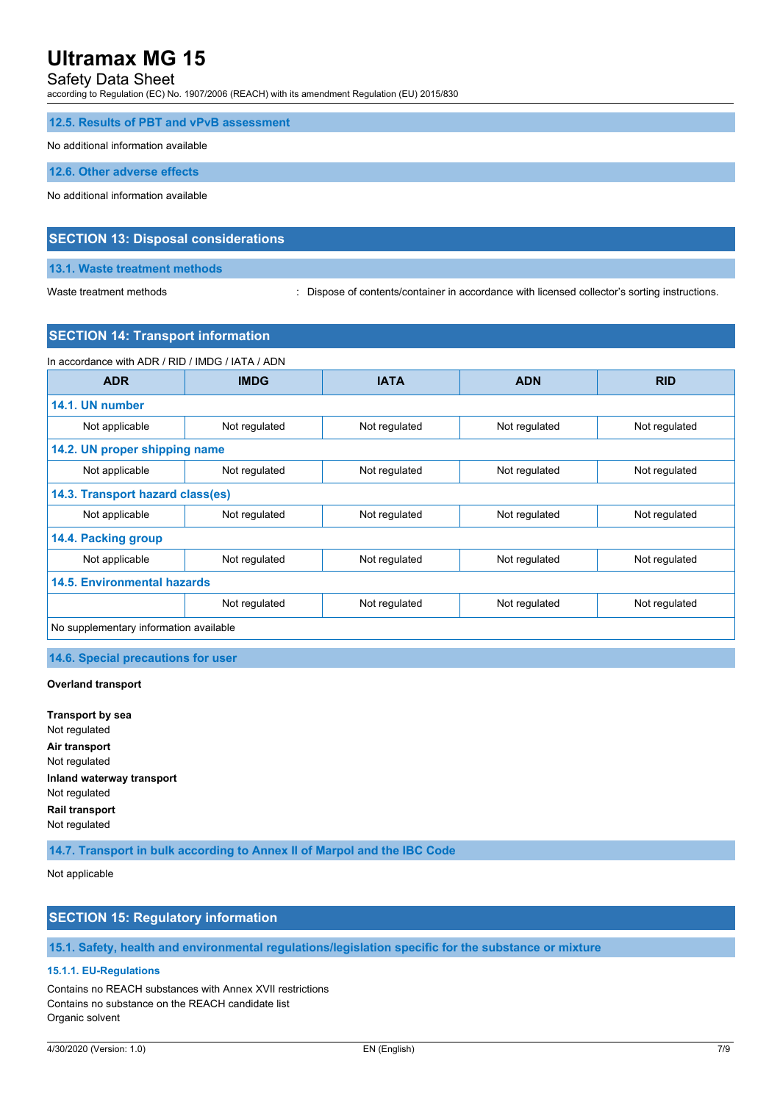# Safety Data Sheet

according to Regulation (EC) No. 1907/2006 (REACH) with its amendment Regulation (EU) 2015/830

#### **12.5. Results of PBT and vPvB assessment**

No additional information available

**12.6. Other adverse effects**

No additional information available

### **SECTION 13: Disposal considerations**

#### **13.1. Waste treatment methods**

Waste treatment methods : Dispose of contents/container in accordance with licensed collector's sorting instructions.

# **SECTION 14: Transport information**

| In accordance with ADR / RID / IMDG / IATA / ADN |               |               |               |               |
|--------------------------------------------------|---------------|---------------|---------------|---------------|
| <b>ADR</b>                                       | <b>IMDG</b>   | <b>IATA</b>   | <b>ADN</b>    | <b>RID</b>    |
| 14.1. UN number                                  |               |               |               |               |
| Not applicable                                   | Not regulated | Not regulated | Not regulated | Not regulated |
| 14.2. UN proper shipping name                    |               |               |               |               |
| Not applicable                                   | Not regulated | Not regulated | Not regulated | Not regulated |
| 14.3. Transport hazard class(es)                 |               |               |               |               |
| Not applicable                                   | Not regulated | Not regulated | Not regulated | Not regulated |
| 14.4. Packing group                              |               |               |               |               |
| Not applicable                                   | Not regulated | Not regulated | Not regulated | Not regulated |
| 14.5. Environmental hazards                      |               |               |               |               |
|                                                  | Not regulated | Not regulated | Not regulated | Not regulated |
| No supplementary information available           |               |               |               |               |

#### **14.6. Special precautions for user**

#### **Overland transport**

**Transport by sea** Not regulated **Air transport** Not regulated **Inland waterway transport** Not regulated **Rail transport** Not regulated

**14.7. Transport in bulk according to Annex II of Marpol and the IBC Code**

Not applicable

### **SECTION 15: Regulatory information**

**15.1. Safety, health and environmental regulations/legislation specific for the substance or mixture**

#### **15.1.1. EU-Regulations**

Contains no REACH substances with Annex XVII restrictions Contains no substance on the REACH candidate list Organic solvent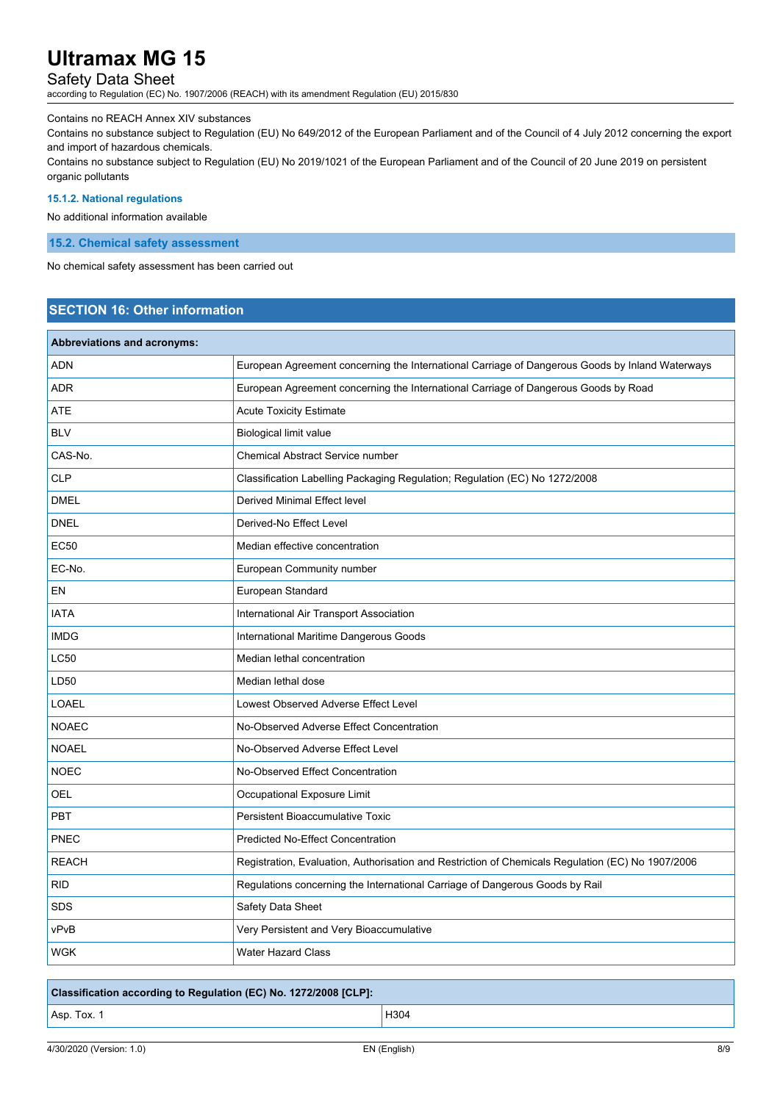# Safety Data Sheet

according to Regulation (EC) No. 1907/2006 (REACH) with its amendment Regulation (EU) 2015/830

#### Contains no REACH Annex XIV substances

Contains no substance subject to Regulation (EU) No 649/2012 of the European Parliament and of the Council of 4 July 2012 concerning the export and import of hazardous chemicals.

Contains no substance subject to Regulation (EU) No 2019/1021 of the European Parliament and of the Council of 20 June 2019 on persistent organic pollutants

#### **15.1.2. National regulations**

No additional information available

#### **15.2. Chemical safety assessment**

No chemical safety assessment has been carried out

# **SECTION 16: Other information**

| <b>Abbreviations and acronyms:</b> |                                                                                                   |  |
|------------------------------------|---------------------------------------------------------------------------------------------------|--|
| ADN                                | European Agreement concerning the International Carriage of Dangerous Goods by Inland Waterways   |  |
| <b>ADR</b>                         | European Agreement concerning the International Carriage of Dangerous Goods by Road               |  |
| ATE                                | <b>Acute Toxicity Estimate</b>                                                                    |  |
| <b>BLV</b>                         | Biological limit value                                                                            |  |
| CAS-No.                            | <b>Chemical Abstract Service number</b>                                                           |  |
| <b>CLP</b>                         | Classification Labelling Packaging Regulation; Regulation (EC) No 1272/2008                       |  |
| <b>DMEL</b>                        | Derived Minimal Effect level                                                                      |  |
| <b>DNEL</b>                        | Derived-No Effect Level                                                                           |  |
| <b>EC50</b>                        | Median effective concentration                                                                    |  |
| EC-No.                             | European Community number                                                                         |  |
| EN                                 | European Standard                                                                                 |  |
| <b>IATA</b>                        | International Air Transport Association                                                           |  |
| <b>IMDG</b>                        | International Maritime Dangerous Goods                                                            |  |
| <b>LC50</b>                        | Median lethal concentration                                                                       |  |
| LD50                               | Median lethal dose                                                                                |  |
| LOAEL                              | Lowest Observed Adverse Effect Level                                                              |  |
| <b>NOAEC</b>                       | No-Observed Adverse Effect Concentration                                                          |  |
| <b>NOAEL</b>                       | No-Observed Adverse Effect Level                                                                  |  |
| <b>NOEC</b>                        | No-Observed Effect Concentration                                                                  |  |
| OEL                                | Occupational Exposure Limit                                                                       |  |
| <b>PBT</b>                         | Persistent Bioaccumulative Toxic                                                                  |  |
| PNEC                               | <b>Predicted No-Effect Concentration</b>                                                          |  |
| <b>REACH</b>                       | Registration, Evaluation, Authorisation and Restriction of Chemicals Regulation (EC) No 1907/2006 |  |
| <b>RID</b>                         | Regulations concerning the International Carriage of Dangerous Goods by Rail                      |  |
| <b>SDS</b>                         | Safety Data Sheet                                                                                 |  |
| vPvB                               | Very Persistent and Very Bioaccumulative                                                          |  |
| WGK                                | <b>Water Hazard Class</b>                                                                         |  |

# **Classification according to Regulation (EC) No. 1272/2008 [CLP]:**